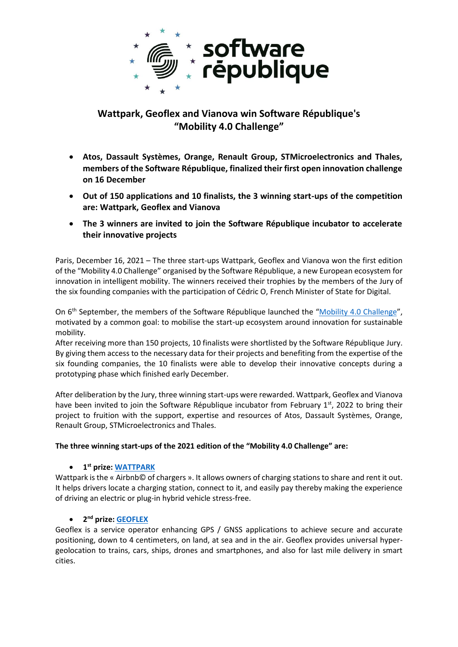

# **Wattpark, Geoflex and Vianova win Software République's "Mobility 4.0 Challenge"**

- **Atos, Dassault Systèmes, Orange, Renault Group, STMicroelectronics and Thales, members of the Software République, finalized their first open innovation challenge on 16 December**
- **Out of 150 applications and 10 finalists, the 3 winning start-ups of the competition are: Wattpark, Geoflex and Vianova**
- **The 3 winners are invited to join the Software République incubator to accelerate their innovative projects**

Paris, December 16, 2021 – The three start-ups Wattpark, Geoflex and Vianova won the first edition of the "Mobility 4.0 Challenge" organised by the Software République, a new European ecosystem for innovation in intelligent mobility. The winners received their trophies by the members of the Jury of the six founding companies with the participation of Cédric O, French Minister of State for Digital.

On 6<sup>th</sup> September, the members of the Software République launched the "[Mobility 4.0 Challenge](https://www.challenge-software-republique.com/)", motivated by a common goal: to mobilise the start-up ecosystem around innovation for sustainable mobility.

After receiving more than 150 projects, 10 finalists were shortlisted by the Software République Jury. By giving them access to the necessary data for their projects and benefiting from the expertise of the six founding companies, the 10 finalists were able to develop their innovative concepts during a prototyping phase which finished early December.

After deliberation by the Jury, three winning start-ups were rewarded. Wattpark, Geoflex and Vianova have been invited to join the Software République incubator from February 1<sup>st</sup>, 2022 to bring their project to fruition with the support, expertise and resources of Atos, Dassault Systèmes, Orange, Renault Group, STMicroelectronics and Thales.

### **The three winning start-ups of the 2021 edition of the "Mobility 4.0 Challenge" are:**

## • **1 st prize: [WATTPARK](https://www.youtube.com/watch?v=fBc0wpJEjUo)**

Wattpark is the « Airbnb© of chargers ». It allows owners of charging stations to share and rent it out. It helps drivers locate a charging station, connect to it, and easily pay thereby making the experience of driving an electric or plug-in hybrid vehicle stress-free.

#### • **2 nd prize[: GEOFLEX](https://www.youtube.com/watch?v=RD9X6GfMLaM)**

Geoflex is a service operator enhancing GPS / GNSS applications to achieve secure and accurate positioning, down to 4 centimeters, on land, at sea and in the air. Geoflex provides universal hypergeolocation to trains, cars, ships, drones and smartphones, and also for last mile delivery in smart cities.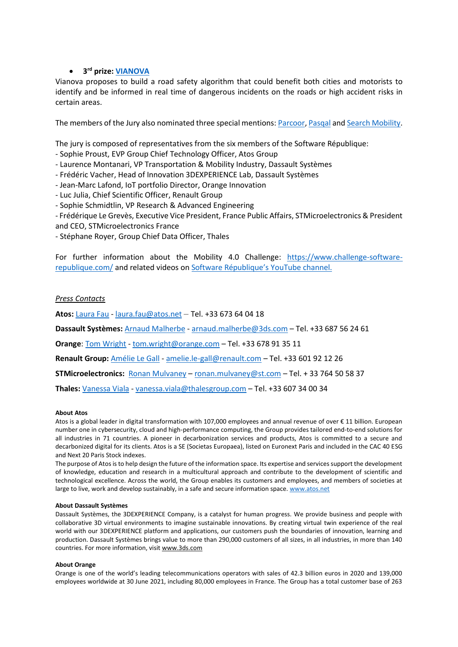### • **3 rd prize: [VIANOVA](https://www.youtube.com/watch?v=v3I4WAiK3RY)**

Vianova proposes to build a road safety algorithm that could benefit both cities and motorists to identify and be informed in real time of dangerous incidents on the roads or high accident risks in certain areas.

The members of the Jury also nominated three special mentions: [Parcoor,](https://www.youtube.com/watch?v=Gm4Wtzok-Gg) [Pasqal](https://www.youtube.com/watch?v=q7v3KPrlLkk) and [Search Mobility.](https://www.youtube.com/watch?v=BL74Cm-VelA)

The jury is composed of representatives from the six members of the Software République:

- Sophie Proust, EVP Group Chief Technology Officer, Atos Group
- Laurence Montanari, VP Transportation & Mobility Industry, Dassault Systèmes
- Frédéric Vacher, Head of Innovation 3DEXPERIENCE Lab, Dassault Systèmes
- Jean-Marc Lafond, IoT portfolio Director, Orange Innovation
- Luc Julia, Chief Scientific Officer, Renault Group
- Sophie Schmidtlin, VP Research & Advanced Engineering
- Frédérique Le Grevès, Executive Vice President, France Public Affairs, STMicroelectronics & President and CEO, STMicroelectronics France
- Stéphane Royer, Group Chief Data Officer, Thales

For further information about the Mobility 4.0 Challenge: [https://www.challenge-software](https://www.challenge-software-republique.com/)[republique.com/](https://www.challenge-software-republique.com/) and related videos on [Software République's](https://www.youtube.com/channel/UCUZ_XrqkMhmk-9NPwFGK_aQ) YouTube channel.

### *Press Contacts*

**Atos:** [Laura Fau](mailto:Laura%20Fau) - [laura.fau@atos.net](mailto:laura.fau@atos.net) – Tel. +33 673 64 04 18

**Dassault Systèmes:** [Arnaud Malherbe](mailto:Arnaud%20Malherbe) - [arnaud.malherbe@3ds.com](mailto:arnaud.malherbe@3ds.com) – Tel. +33 687 56 24 61

**Orange**: Tom Wright - [tom.wright@orange.com](mailto:tom.wright@orange.com) – Tel. +33 678 91 35 11

**Renault Group:** [Amélie Le Gall](mailto:Amélie%20Le%20Gall) - [amelie.le-gall@renault.com](mailto:amelie.le-gall@renault.com) – Tel. +33 601 92 12 26

**STMicroelectronics:** [Ronan Mulvaney](mailto:ronan.mulvaney@st.com) – [ronan.mulvaney@st.com](mailto:ronan.mulvaney@st.com) – Tel. + 33 764 50 58 37

**Thales:** [Vanessa Viala](mailto:Vanessa%20Viala) - [vanessa.viala@thalesgroup.com](mailto:vanessa.viala@thalesgroup.com) – Tel. +33 607 34 00 34

#### **About Atos**

Atos is a global leader in digital transformation with 107,000 employees and annual revenue of over € 11 billion. European number one in cybersecurity, cloud and high-performance computing, the Group provides tailored end-to-end solutions for all industries in 71 countries. A pioneer in decarbonization services and products, Atos is committed to a secure and decarbonized digital for its clients. Atos is a SE (Societas Europaea), listed on Euronext Paris and included in the CAC 40 ESG and Next 20 Paris Stock indexes.

The purpose of Atos is to help design the future of the information space. Its expertise and services support the development of knowledge, education and research in a multicultural approach and contribute to the development of scientific and technological excellence. Across the world, the Group enables its customers and employees, and members of societies at large to live, work and develop sustainably, in a safe and secure information space. [www.atos.net](http://www.atos.net/)

#### **About Dassault Systèmes**

Dassault Systèmes, the 3DEXPERIENCE Company, is a catalyst for human progress. We provide business and people with collaborative 3D virtual environments to imagine sustainable innovations. By creating virtual twin experience of the real world with our 3DEXPERIENCE platform and applications, our customers push the boundaries of innovation, learning and production. Dassault Systèmes brings value to more than 290,000 customers of all sizes, in all industries, in more than 140 countries. For more information, visit www.3ds.com

#### **About Orange**

Orange is one of the world's leading telecommunications operators with sales of 42.3 billion euros in 2020 and 139,000 employees worldwide at 30 June 2021, including 80,000 employees in France. The Group has a total customer base of 263